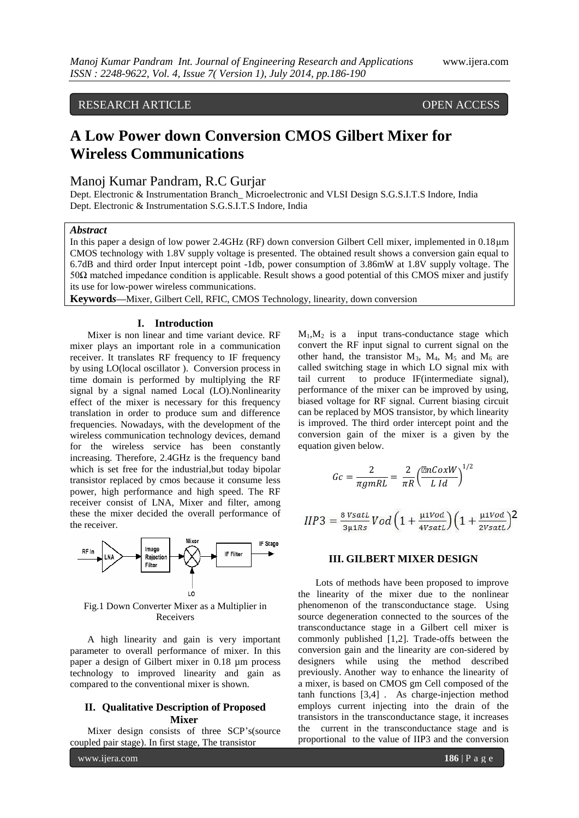# RESEARCH ARTICLE OPEN ACCESS

# **A Low Power down Conversion CMOS Gilbert Mixer for Wireless Communications**

## Manoj Kumar Pandram, R.C Gurjar

Dept. Electronic & Instrumentation Branch\_ Microelectronic and VLSI Design S.G.S.I.T.S Indore, India Dept. Electronic & Instrumentation S.G.S.I.T.S Indore, India

## *Abstract*

In this paper a design of low power 2.4GHz (RF) down conversion Gilbert Cell mixer, implemented in 0.18μm CMOS technology with 1.8V supply voltage is presented. The obtained result shows a conversion gain equal to 6.7dB and third order Input intercept point -1db, power consumption of 3.86mW at 1.8V supply voltage. The 50Ω matched impedance condition is applicable. Result shows a good potential of this CMOS mixer and justify its use for low-power wireless communications.

**Keyword***s***—**Mixer, Gilbert Cell, RFIC, CMOS Technology, linearity, down conversion

## **I. Introduction**

Mixer is non linear and time variant device. RF mixer plays an important role in a communication receiver. It translates RF frequency to IF frequency by using LO(local oscillator ). Conversion process in time domain is performed by multiplying the RF signal by a signal named Local (LO).Nonlinearity effect of the mixer is necessary for this frequency translation in order to produce sum and difference frequencies. Nowadays, with the development of the wireless communication technology devices, demand for the wireless service has been constantly increasing. Therefore, 2.4GHz is the frequency band which is set free for the industrial,but today bipolar transistor replaced by cmos because it consume less power, high performance and high speed. The RF receiver consist of LNA, Mixer and filter, among these the mixer decided the overall performance of the receiver.



Fig.1 Down Converter Mixer as a Multiplier in Receivers

A high linearity and gain is very important parameter to overall performance of mixer. In this paper a design of Gilbert mixer in 0.18 µm process technology to improved linearity and gain as compared to the conventional mixer is shown.

## **II. Qualitative Description of Proposed Mixer**

Mixer design consists of three SCP's(source coupled pair stage). In first stage, The transistor

 $M_1, M_2$  is a input trans-conductance stage which convert the RF input signal to current signal on the other hand, the transistor  $M_3$ ,  $M_4$ ,  $M_5$  and  $M_6$  are called switching stage in which LO signal mix with tail current to produce IF(intermediate signal), performance of the mixer can be improved by using, biased voltage for RF signal. Current biasing circuit can be replaced by MOS transistor, by which linearity is improved. The third order intercept point and the conversion gain of the mixer is a given by the equation given below.

$$
Gc = \frac{2}{\pi g m R L} = \frac{2}{\pi R} \left(\frac{\mu n C \alpha x W}{L Id}\right)^{1/2}
$$

$$
HP3 = \frac{8 \text{ VsatL}}{3 \mu 1 R s} \text{Vol} \left( 1 + \frac{\mu 1 \text{Vol}}{4 \text{ VsatL}} \right) \left( 1 + \frac{\mu 1 \text{Vol}}{2 \text{ VsatL}} \right)^2
$$

## **III. GILBERT MIXER DESIGN**

Lots of methods have been proposed to improve the linearity of the mixer due to the nonlinear phenomenon of the transconductance stage. Using source degeneration connected to the sources of the transconductance stage in a Gilbert cell mixer is commonly published [1,2]. Trade-offs between the conversion gain and the linearity are con-sidered by designers while using the method described previously. Another way to enhance the linearity of a mixer, is based on CMOS gm Cell composed of the tanh functions [3,4] . As charge-injection method employs current injecting into the drain of the transistors in the transconductance stage, it increases the current in the transconductance stage and is proportional to the value of IIP3 and the conversion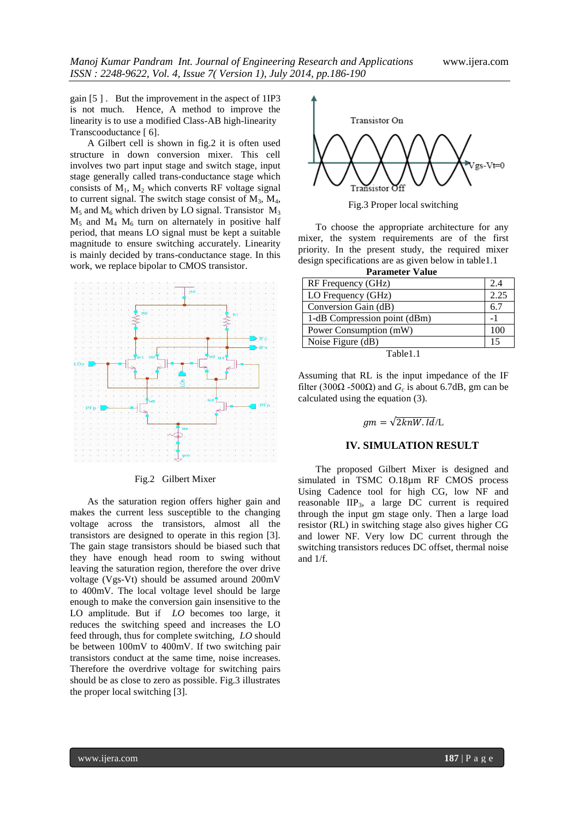gain [5 ] . But the improvement in the aspect of 1IP3 is not much. Hence, A method to improve the linearity is to use a modified Class-AB high-linearity Transcooductance [ 6].

A Gilbert cell is shown in fig.2 it is often used structure in down conversion mixer. This cell involves two part input stage and switch stage, input stage generally called trans-conductance stage which consists of  $M_1$ ,  $M_2$  which converts RF voltage signal to current signal. The switch stage consist of  $M_3$ ,  $M_4$ ,  $M_5$  and  $M_6$  which driven by LO signal. Transistor  $M_3$  $M_5$  and  $M_4$   $M_6$  turn on alternately in positive half period, that means LO signal must be kept a suitable magnitude to ensure switching accurately. Linearity is mainly decided by trans-conductance stage. In this work, we replace bipolar to CMOS transistor.



#### Fig.2 Gilbert Mixer

As the saturation region offers higher gain and makes the current less susceptible to the changing voltage across the transistors, almost all the transistors are designed to operate in this region [3]. The gain stage transistors should be biased such that they have enough head room to swing without leaving the saturation region, therefore the over drive voltage (Vgs-Vt) should be assumed around 200mV to 400mV. The local voltage level should be large enough to make the conversion gain insensitive to the LO amplitude. But if *LO* becomes too large, it reduces the switching speed and increases the LO feed through, thus for complete switching, *LO* should be between 100mV to 400mV. If two switching pair transistors conduct at the same time, noise increases. Therefore the overdrive voltage for switching pairs should be as close to zero as possible. Fig.3 illustrates the proper local switching [3].



Fig.3 Proper local switching

To choose the appropriate architecture for any mixer, the system requirements are of the first priority. In the present study, the required mixer design specifications are as given below in table1.1  **Parameter Value**

| 1 alamuut +anu               |      |  |  |  |  |
|------------------------------|------|--|--|--|--|
| RF Frequency (GHz)           | 24   |  |  |  |  |
| LO Frequency (GHz)           | 2.25 |  |  |  |  |
| Conversion Gain (dB)         | 6.7  |  |  |  |  |
| 1-dB Compression point (dBm) |      |  |  |  |  |
| Power Consumption (mW)       | 100  |  |  |  |  |
| Noise Figure (dB)            | 15   |  |  |  |  |
| 11<br>-1.<br>—               |      |  |  |  |  |

Table1.1

Assuming that RL is the input impedance of the IF filter (300 $\Omega$  -500 $\Omega$ ) and  $G_c$  is about 6.7dB, gm can be calculated using the equation (3).

## $qm = \sqrt{2knW \cdot Id/L}$

## **IV. SIMULATION RESULT**

The proposed Gilbert Mixer is designed and simulated in TSMC O.18µm RF CMOS process Using Cadence tool for high CG, low NF and reasonable IIP3, a large DC current is required through the input gm stage only. Then a large load resistor (RL) in switching stage also gives higher CG and lower NF. Very low DC current through the switching transistors reduces DC offset, thermal noise and 1/f.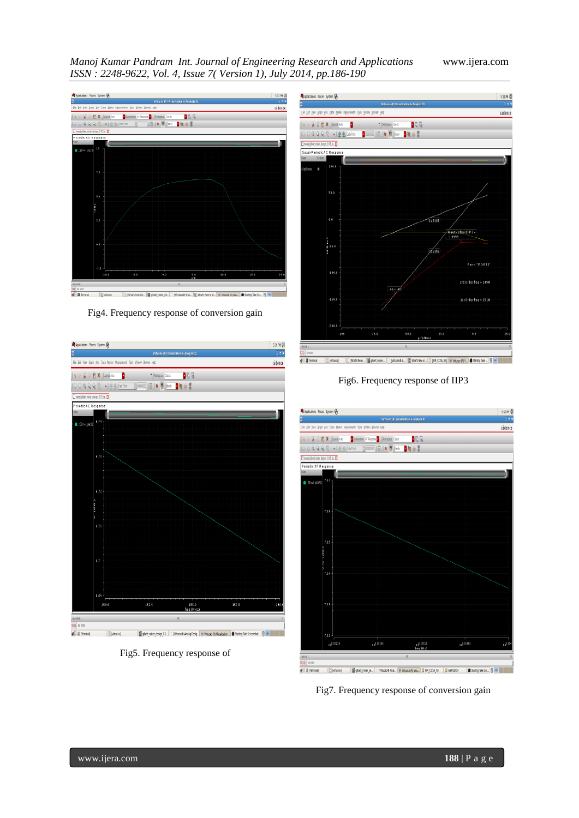*Manoj Kumar Pandram Int. Journal of Engineering Research and Applications* www.ijera.com *ISSN : 2248-9622, Vol. 4, Issue 7( Version 1), July 2014, pp.186-190*



Fig4. Frequency response of conversion gain



Fig5. Frequency response of



Fig6. Frequency response of IIP3



Fig7. Frequency response of conversion gain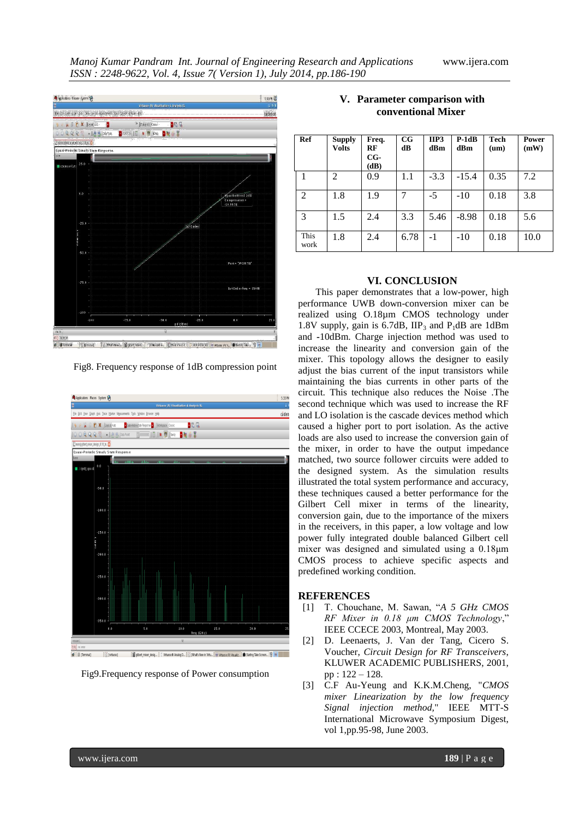

Fig8. Frequency response of 1dB compression point



Fig9.Frequency response of Power consumption

| Ref            | <b>Supply</b><br><b>Volts</b> | Freq.<br>RF<br>$CG-$<br>(dB) | $_{\rm CG}$<br>dB | IIP3<br>dBm | $P-1dB$<br>dBm | Tech<br>$(\mathbf{u}\mathbf{m})$ | <b>Power</b><br>(mW) |
|----------------|-------------------------------|------------------------------|-------------------|-------------|----------------|----------------------------------|----------------------|
| 1              | 2                             | 0.9                          | 1.1               | $-3.3$      | $-15.4$        | 0.35                             | 7.2                  |
| $\overline{2}$ | 1.8                           | 1.9                          |                   | $-5$        | $-10$          | 0.18                             | 3.8                  |
| 3              | 1.5                           | 2.4                          | 3.3               | 5.46        | $-8.98$        | 0.18                             | 5.6                  |
| This<br>work   | 1.8                           | 2.4                          | 6.78              | $-1$        | $-10$          | 0.18                             | 10.0                 |

## **V. Parameter comparison with conventional Mixer**

### **VI. CONCLUSION**

This paper demonstrates that a low-power, high performance UWB down-conversion mixer can be realized using O.18µm CMOS technology under 1.8V supply, gain is  $6.7dB$ ,  $IIP_3$  and  $P_1dB$  are 1dBm and **-**10dBm. Charge injection method was used to increase the linearity and conversion gain of the mixer. This topology allows the designer to easily adjust the bias current of the input transistors while maintaining the bias currents in other parts of the circuit. This technique also reduces the Noise .The second technique which was used to increase the RF and LO isolation is the cascade devices method which caused a higher port to port isolation. As the active loads are also used to increase the conversion gain of the mixer, in order to have the output impedance matched, two source follower circuits were added to the designed system. As the simulation results illustrated the total system performance and accuracy, these techniques caused a better performance for the Gilbert Cell mixer in terms of the linearity, conversion gain, due to the importance of the mixers in the receivers, in this paper, a low voltage and low power fully integrated double balanced Gilbert cell mixer was designed and simulated using a 0.18μm CMOS process to achieve specific aspects and predefined working condition.

#### **REFERENCES**

- [1] T. Chouchane, M. Sawan, "*A 5 GHz CMOS RF Mixer in 0.18 μm CMOS Technology*," IEEE CCECE 2003, Montreal, May 2003.
- [2] D. Leenaerts, J. Van der Tang, Cicero S. Voucher, *Circuit Design for RF Transceivers*, KLUWER ACADEMIC PUBLISHERS, 2001, pp : 122 – 128.
- [3] C.F Au-Yeung and K.K.M.Cheng, "*CMOS mixer Linearization by the low frequency Signal injection method,*" IEEE MTT-S International Microwave Symposium Digest, vol 1,pp.95-98, June 2003.